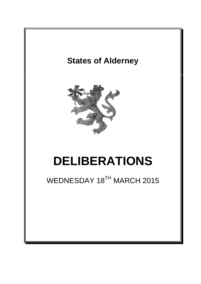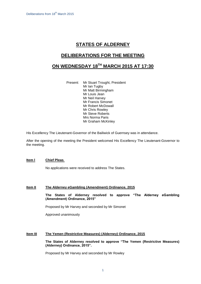# **STATES OF ALDERNEY**

## **DELIBERATIONS FOR THE MEETING**

# **ON WEDNESDAY 18 TH MARCH 2015 AT 17:30**

Present: Mr Stuart Trought, President Mr Ian Tugby Mr Matt Birmingham Mr Louis Jean Mr Neil Harvey Mr Francis Simonet Mr Robert McDowall Mr Chris Rowley Mr Steve Roberts Mrs Norma Paris Mr Graham McKinley

His Excellency The Lieutenant-Governor of the Bailiwick of Guernsey was in attendance.

After the opening of the meeting the President welcomed His Excellency The Lieutenant-Governor to the meeting.

#### **Item l Chief Pleas**.

No applications were received to address The States.

### **Item II The Alderney eGambling (Amendment) Ordinance, 2015**

**The States of Alderney resolved to approve "The Alderney eGambling (Amendment) Ordinance, 2015"**

Proposed by Mr Harvey and seconded by Mr Simonet

Approved unanimously

#### **Item III The Yemen (Restrictive Measures) (Alderney) Ordinance, 2015**

**The States of Alderney resolved to approve "The Yemen (Restrictive Measures) (Alderney) Ordinance, 2015".**

Proposed by Mr Harvey and seconded by Mr Rowley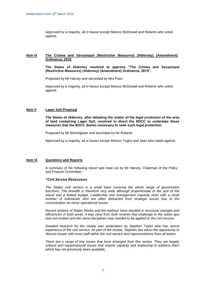Approved by a majority, all in favour except Messrs McDowall and Roberts who voted against.

### **Item IV The Crimea and Sevastopol (Restrictive Measures) (Alderney) (Amendment) Ordinance, 2015**

**The States of Alderney resolved to approve "The Crimea and Sevastopol (Restrictive Measures) (Alderney) (Amendment) Ordinance, 2015".**

Proposed by Mr Harvey and seconded by Mrs Paris

Approved by a majority, all in favour except Messrs McDowall and Roberts who voted against.

#### **Item V Lager Sylt Proposal**

**The States of Alderney, after debating the matter of the legal protection of the area of land containing Lager Sylt, resolved to direct the BDCC to undertake those measures that the BDCC deems necessary to seek such legal protection.**

Proposed by Mr Birmingham and seconded by Mr Roberts

Approved by a majority, all in favour except Messrs Tugby and Jean who voted against.

### **Item VI Questions and Reports**

A summary of the following report was read out by Mr Harvey, Chairman of the Policy and Finance Committee:-

#### *"Civil Service Restructure*

*The States civil service is a small team covering the whole range of government*  functions. The breadth is therefore very wide although proportionate to the size of the island and a limited budget. Leadership and management capacity rests with a small *number of individuals who are often distracted from strategic issues due to the concentration on minor operational issues.*

*Recent reviews of States Works and the Harbour have resulted in structural changes and efficiencies in both areas. It was clear from both reviews that challenge to the status quo was not evident and the same disciplines now needed to be applied to the civil service.* 

*Detailed research for the review was undertaken by Stephen Taylor who has recent experience of the civil service. As part of the review, Stephen has taken the opportunity to discuss issues with most staff within the civil service and representatives from all teams.*

*There are a range of key issues that have emerged from this review. They are largely cultural and organisational issues that require capacity and leadership to address them which has not previously been available.*